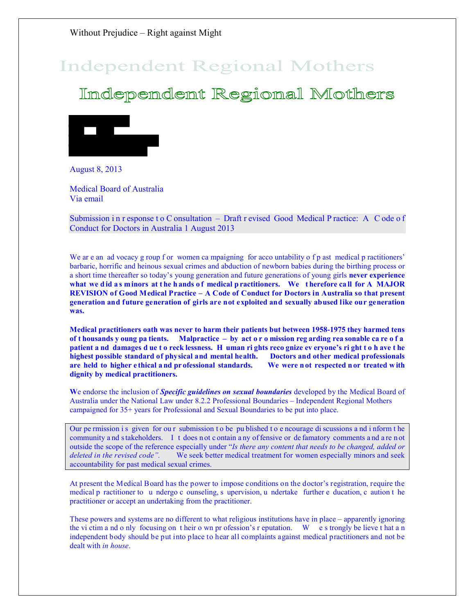# **Independent Regional Mothers**

Independent Regional Mothers



August 8, 2013

Medical Board of Australia Via email

Submission i n r esponse t o C onsultation – Draft r evised Good Medical P ractice: A C ode o f Conduct for Doctors in Australia 1 August 2013

We are an ad vocacy g roup f or women ca mpaigning for acco untability o f p ast medical p ractitioners' barbaric, horrific and heinous sexual crimes and abduction of newborn babies during the birthing process or a short time thereafter so today's young generation and future generations of young girls **never experience**  what we did as minors at the h ands of medical practitioners. We therefore call for A MAJOR **REVISION of Good Medical Practice – A Code of Conduct for Doctors in Australia so that present generation and future generation of girls are not exploited and sexually abused like our generation was.**

**Medical practitioners oath was never to harm their patients but between 1958-1975 they harmed tens of t housands y oung pa tients. Malpractice – by act o r o mission reg arding rea sonable ca re o f a patient a nd damages d ue t o reck lessness. H uman ri ghts reco gnize ev eryone's ri ght t o h ave t he highest possible standard of physical and mental health. Doctors and other medical professionals are held to higher e thical a nd pr ofessional standards. We were n ot respected n or treated w ith dignity by medical practitioners.**

**W**e endorse the inclusion of *Specific guidelines on sexual boundaries* developed by the Medical Board of Australia under the National Law under 8.2.2 Professional Boundaries – Independent Regional Mothers campaigned for 35+ years for Professional and Sexual Boundaries to be put into place.

Our pe rmission i s given for our submission t o be pu blished t o e ncourage di scussions a nd i nform t he community a nd s takeholders. I t does n ot c ontain a ny of fensive or de famatory comments a nd a re n ot outside the scope of the reference especially under "*Is there any content that needs to be changed, added or deleted in the revised code".* We seek better medical treatment for women especially minors and seek accountability for past medical sexual crimes.

At present the Medical Board has the power to impose conditions on the doctor's registration, require the medical p ractitioner to u ndergo c ounseling, s upervision, u ndertake further e ducation, c aution t he practitioner or accept an undertaking from the practitioner.

These powers and systems are no different to what religious institutions have in place – apparently ignoring the vi ctim a nd o nly focusing on t heir o wn pr ofession's r eputation. W e s trongly be lieve t hat a n independent body should be put into place to hear all complaints against medical practitioners and not be dealt with *in house*.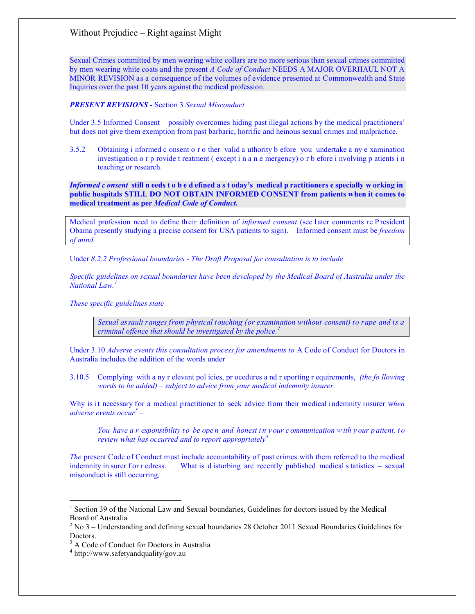Sexual Crimes committed by men wearing white collars are no more serious than sexual crimes committed by men wearing white coats and the present *A Code of Conduct* NEEDS A MAJOR OVERHAUL NOT A MINOR REVISION as a consequence of the volumes of evidence presented at Commonwealth and State Inquiries over the past 10 years against the medical profession.

#### *PRESENT REVISIONS -* Section 3 *Sexual Misconduct*

Under 3.5 Informed Consent – possibly overcomes hiding past illegal actions by the medical practitioners' but does not give them exemption from past barbaric, horrific and heinous sexual crimes and malpractice.

3.5.2 Obtaining i nformed c onsent o r o ther valid a uthority b efore you undertake a ny e xamination investigation o r p rovide t reatment ( except i n a n e mergency) o r b efore i nvolving p atients i n teaching or research.

*Informed c onsent* **still n eeds t o b e d efined a s t oday's medical p ractitioners e specially w orking in public hospitals STILL DO NOT OBTAIN INFORMED CONSENT from patients when it comes to medical treatment as per** *Medical Code of Conduct.*

Medical profession need to define th eir definition of *informed consent* (see l ater comments re P resident Obama presently studying a precise consent for USA patients to sign). Informed consent must be *freedom of mind.*

Under *8.2.2 Professional boundaries - The Draft Proposal for consultation is to include*

*Specific guidelines on sexual boundaries have been developed by the Medical Board of Australia under the National Law.[1](#page-1-0)*

*These specific guidelines state* 

*Sexual assault ranges from physical touching (or examination without consent) to rape and is a criminal offence that should be investigated by the police.[2](#page-1-1)*

Under 3.10 *Adverse events this consultation process for amendments to* A Code of Conduct for Doctors in Australia includes the addition of the words under

3.10.5 Complying with a ny r elevant pol icies, pr ocedures a nd r eporting r equirements, *(the fo llowing words to be added) – subject to advice from your medical indemnity insurer.*

Why is it necessary for a medical practitioner to seek advice from their medical indemnity insurer w*hen adverse events occur[3](#page-1-2) –* 

*You have a r esponsibility to be open and honest in y our c ommunication with y our p atient, to review what has occurred and to report appropriately[4](#page-1-3)*

*The* present Code of Conduct must include accountability of past crimes with them referred to the medical indemnity in surer f or r edress. What is d isturbing are recently published medical s tatistics – sexual misconduct is still occurring*,* 

 $\overline{a}$ 

<span id="page-1-0"></span><sup>&</sup>lt;sup>1</sup> Section 39 of the National Law and Sexual boundaries, Guidelines for doctors issued by the Medical Board of Australia

<span id="page-1-1"></span><sup>2</sup> No 3 – Understanding and defining sexual boundaries 28 October 2011 Sexual Boundaries Guidelines for Doctors.

<span id="page-1-2"></span><sup>&</sup>lt;sup>3</sup> A Code of Conduct for Doctors in Australia

<span id="page-1-3"></span><sup>&</sup>lt;sup>4</sup> http://www.safetyandquality/gov.au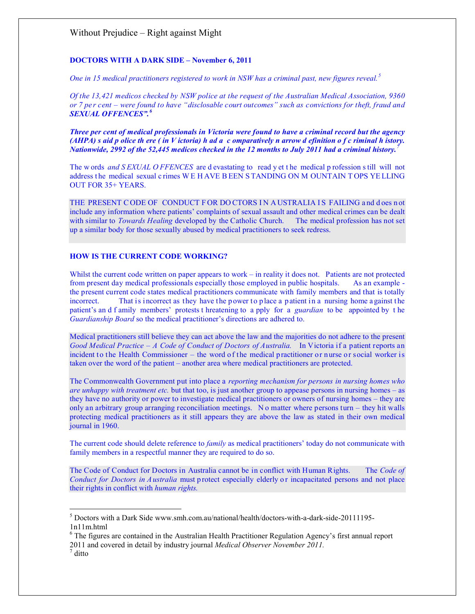#### **DOCTORS WITH A DARK SIDE – November 6, 2011**

*One in 15 medical practitioners registered to work in NSW has a criminal past, new figures reveal.[5](#page-2-0)*

*Of the 13,421 medicos checked by NSW police at the request of the Australian Medical Association, 9360 or 7 pe r cent – were found to have "disclosable court outcomes" such as convictions for theft, fraud and SEXUAL OFFENCES".[6](#page-2-1)*

*Three per cent of medical professionals in Victoria were found to have a criminal record but the agency (AHPA) s aid p olice th ere ( in V ictoria) h ad a c omparatively n arrow d efinition o f c riminal h istory. Nationwide, 2992 of the 52,445 medicos checked in the 12 months to July 2011 had a criminal history.[7](#page-2-2)*

The w ords *and S EXUAL O FFENCES* are d evastating to read y et t he medical p rofession s till will not address t he medical sexual c rimes W E H AVE B EEN S TANDING ON M OUNTAIN T OPS YE LLING OUT FOR 35+ YEARS.

THE PRESENT CODE OF CONDUCT FOR DO CTORS IN A USTRALIA IS FAILING and does not include any information where patients' complaints of sexual assault and other medical crimes can be dealt with similar to *Towards Healing* developed by the Catholic Church. The medical profession has not set up a similar body for those sexually abused by medical practitioners to seek redress.

## **HOW IS THE CURRENT CODE WORKING?**

Whilst the current code written on paper appears to work – in reality it does not. Patients are not protected from present day medical professionals especially those employed in public hospitals. As an example from present day medical professionals especially those employed in public hospitals. the present current code states medical practitioners communicate with family members and that is totally incorrect. That is incorrect as they have the power to place a patient in a nursing home a gainst the patient's an d f amily members' protests t hreatening to a pply for a *guardian* to be appointed by t he *Guardianship Board* so the medical practitioner's directions are adhered to.

Medical practitioners still believe they can act above the law and the majorities do not adhere to the present *Good Medical Practice – A Code of Conduct of Doctors of Australia.* In Victoria if a patient reports an incident to the Health Commissioner – the word of the medical practitioner or nurse or social worker is taken over the word of the patient – another area where medical practitioners are protected.

The Commonwealth Government put into place a *reporting mechanism for persons in nursing homes who are unhappy with treatment etc.* but that too, is just another group to appease persons in nursing homes – as they have no authority or power to investigate medical practitioners or owners of nursing homes – they are only an arbitrary group arranging reconciliation meetings. N o matter where persons turn – they hit walls protecting medical practitioners as it still appears they are above the law as stated in their own medical journal in 1960.

The current code should delete reference to *family* as medical practitioners' today do not communicate with family members in a respectful manner they are required to do so.

The Code of Conduct for Doctors in Australia cannot be in conflict with Human Rights. The *Code of Conduct for Doctors in A ustralia* must p rotect especially elderly or incapacitated persons and not place their rights in conflict with *human rights.*

 $\overline{a}$ 

<span id="page-2-0"></span> $5$  Doctors with a Dark Side www.smh.com.au/national/health/doctors-with-a-dark-side-20111195-1n11m.html

<span id="page-2-1"></span><sup>&</sup>lt;sup>6</sup> The figures are contained in the Australian Health Practitioner Regulation Agency's first annual report 2011 and covered in detail by industry journal *Medical Observer November 2011.* <sup>7</sup> ditto

<span id="page-2-2"></span>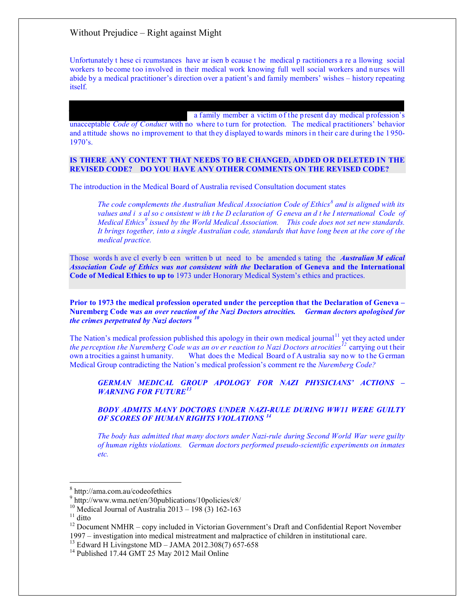Unfortunately t hese ci rcumstances have ar isen b ecause t he medical p ractitioners a re a llowing social workers to become too involved in their medical work knowing full well social workers and nurses will abide by a medical practitioner's direction over a patient's and family members' wishes – history repeating itself.

a family member a victim of the present day medical profession's unacceptable *Code of Conduct* with no where to turn for protection. The medical practitioners' behavior and attitude shows no improvement to that they displayed to wards minors i n their care during the 1950- 1970's.

#### **IS THERE ANY CONTENT THAT NEEDS TO BE CHANGED, ADDED OR DELETED IN THE REVISED CODE? DO YOU HAVE ANY OTHER COMMENTS ON THE REVISED CODE?**

The introduction in the Medical Board of Australia revised Consultation document states

*The code complements the Australian Medical Association Code of Ethics[8](#page-3-0) and is aligned with its values and i s al so c onsistent w ith t he D eclaration of G eneva an d t he I nternational Code of Medical Ethics[9](#page-3-1) issued by the World Medical Association. This code does not set new standards. It brings together, into a single Australian code, standards that have long been at the core of the medical practice.*

Those words h ave cl everly b een written b ut need to be amended s tating the *Australian M edical Association Code of Ethics was not consistent with the* **Declaration of Geneva and the International Code of Medical Ethics to up to** 1973 under Honorary Medical System's ethics and practices.

**Prior to 1973 the medical profession operated under the perception that the Declaration of Geneva – Nuremberg Code w***as an over reaction of the Nazi Doctors atrocities. German doctors apologised for the crimes perpetrated by Nazi doctors [10](#page-3-2)*

The Nation's medical profession published this apology in their own medical journal<sup>[11](#page-3-3)</sup> yet they acted under *the perception the Nuremberg Code was an ov er reaction to Nazi Doctors atrocities[12](#page-3-4)* carrying out t heir own a trocities a gainst h umanity. What does the Medical Board of A ustralia say now to the G erman Medical Group contradicting the Nation's medical profession's comment re the *Nuremberg Code?*

*GERMAN MEDICAL GROUP APOLOGY FOR NAZI PHYSICIANS' ACTIONS – WARNING FOR FUTURE[13](#page-3-5)*

*BODY ADMITS MANY DOCTORS UNDER NAZI-RULE DURING WW11 WERE GUILTY OF SCORES OF HUMAN RIGHTS VIOLATIONS [14](#page-3-6)*

*The body has admitted that many doctors under Nazi-rule during Second World War were guilty of human rights violations. German doctors performed pseudo-scientific experiments on inmates etc.*

 $\overline{a}$ 

<span id="page-3-4"></span><span id="page-3-3"></span><span id="page-3-2"></span><sup>11</sup> ditto<br><sup>12</sup> Document NMHR – copy included in Victorian Government's Draft and Confidential Report November 1997 – investigation into medical mistreatment and malpractice of children in institutional care.

<span id="page-3-6"></span><span id="page-3-5"></span><sup>13</sup> Edward H Livingstone MD – JAMA 2012.308(7) 657-658<br><sup>14</sup> Published 17.44 GMT 25 May 2012 Mail Online

<sup>8</sup> http://ama.com.au/codeofethics

<span id="page-3-1"></span><span id="page-3-0"></span><sup>9</sup> http://www.wma.net/en/30publications/10policies/c8/<br><sup>10</sup> Medical Journal of Australia 2013 – 198 (3) 162-163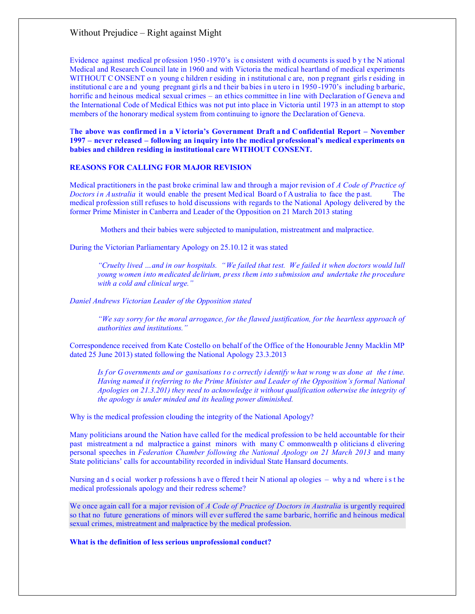Evidence against medical pr ofession 1950 -1970's is c onsistent with d ocuments is sued b y t he N ational Medical and Research Council late in 1960 and with Victoria the medical heartland of medical experiments WITHOUT CONSENT on young c hildren r esiding in i nstitutional c are, non p regnant girls r esiding in institutional c are a nd young pregnant girls a nd their ba bies in u tero in 1950-1970's including b arbaric, horrific and heinous medical sexual crimes – an ethics committee in line with Declaration of Geneva and the International Code of Medical Ethics was not put into place in Victoria until 1973 in an attempt to stop members of the honorary medical system from continuing to ignore the Declaration of Geneva.

The above was confirmed in a Victoria's Government Draft and Confidential Report – November **1997 – never released – following an inquiry into the medical professional's medical experiments on babies and children residing in institutional care WITHOUT CONSENT.**

### **REASONS FOR CALLING FOR MAJOR REVISION**

Medical practitioners in the past broke criminal law and through a major revision of *A Code of Practice of Doctors in Australia* it would enable the present Med ical Board of Australia to face the past. The medical profession still refuses to hold discussions with regards to the National Apology delivered by the former Prime Minister in Canberra and Leader of the Opposition on 21 March 2013 stating

Mothers and their babies were subjected to manipulation, mistreatment and malpractice.

During the Victorian Parliamentary Apology on 25.10.12 it was stated

*"Cruelty lived …and in our hospitals. "We failed that test. We failed it when doctors would lull young women into medicated delirium, press them into submission and undertake the procedure with a cold and clinical urge."*

*Daniel Andrews Victorian Leader of the Opposition stated*

*"We say sorry for the moral arrogance, for the flawed justification, for the heartless approach of authorities and institutions."*

Correspondence received from Kate Costello on behalf of the Office of the Honourable Jenny Macklin MP dated 25 June 2013) stated following the National Apology 23.3.2013

*Is f or G overnments and or ganisations t o c orrectly i dentify w hat w rong w as done at the t ime. Having named it (referring to the Prime Minister and Leader of the Opposition's formal National Apologies on 21.3.201) they need to acknowledge it without qualification otherwise the integrity of the apology is under minded and its healing power diminished.*

Why is the medical profession clouding the integrity of the National Apology?

Many politicians around the Nation have called for the medical profession to be held accountable for their past mistreatment a nd malpractice a gainst minors with many C ommonwealth p oliticians d elivering personal speeches in *Federation Chamber following the National Apology on 21 March 2013* and many State politicians' calls for accountability recorded in individual State Hansard documents.

Nursing an d s ocial worker p rofessions h ave o ffered t heir N ational ap ologies – why a nd where i s t he medical professionals apology and their redress scheme?

We once again call for a major revision of *A Code of Practice of Doctors in Australia* is urgently required so that no future generations of minors will ever suffered the same barbaric, horrific and heinous medical sexual crimes, mistreatment and malpractice by the medical profession.

**What is the definition of less serious unprofessional conduct?**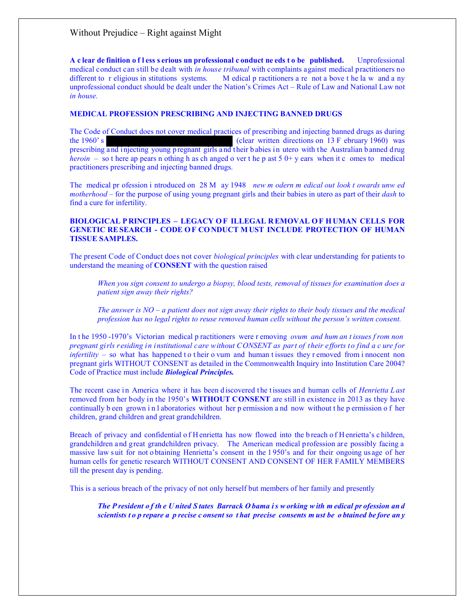**A c lear de finition o f l ess s erious un professional c onduct ne eds t o be published.** Unprofessional medical conduct can still be dealt with *in house tribunal* with complaints against medical practitioners no different to r eligious in stitutions systems. M edical p ractitioners a re not a bove t he la w and a ny unprofessional conduct should be dealt under the Nation's Crimes Act – Rule of Law and National Law not *in house.*

#### **MEDICAL PROFESSION PRESCRIBING AND INJECTING BANNED DRUGS**

The Code of Conduct does not cover medical practices of prescribing and injecting banned drugs as during the 1960's (clear written directions on 13 F ebruary 1960) was prescribing a nd injecting young pregnant girls and t heir b abies in utero with t he Australian banned drug *heroin* – so t here ap pears n othing h as ch anged o ver t he p ast 5 0+ y ears when it c omes to medical practitioners prescribing and injecting banned drugs.

The medical pr ofession i ntroduced on 28 M ay 1948 *new m odern m edical out look t owards unw ed motherhood –* for the purpose of using young pregnant girls and their babies in utero as part of their *dash* to find a cure for infertility.

#### **BIOLOGICAL P RINCIPLES – LEGACY O F ILLEGAL R EMOVAL O F H UMAN CELLS FOR GENETIC RE SEARCH - CODE O F CO NDUCT M UST INCLUDE PROTECTION OF HUMAN TISSUE SAMPLES.**

The present Code of Conduct does not cover *biological principles* with clear understanding for patients to understand the meaning of **CONSENT** with the question raised

*When you sign consent to undergo a biopsy, blood tests, removal of tissues for examination does a patient sign away their rights?*

*The answer is NO – a patient does not sign away their rights to their body tissues and the medical profession has no legal rights to reuse removed human cells without the person's written consent.*

In t he 1950 -1970's Victorian medical p ractitioners were r emoving *ovum and hum an t issues f rom non pregnant girls residing in institutional care without CONSENT as part of their efforts to find a c ure for infertility –* so what has happened to their o vum and human t issues they r emoved from i nnocent non pregnant girls WITHOUT CONSENT as detailed in the Commonwealth Inquiry into Institution Care 2004? Code of Practice must include *Biological Principles.*

The recent case in America where it has been discovered the tissues and human cells of *Henrietta Last* removed from her body in the 1950's **WITHOUT CONSENT** are still in existence in 2013 as they have continually b een grown i n l aboratories without her p ermission a nd now without t he p ermission o f her children, grand children and great grandchildren.

Breach of privacy and confidential o f H enrietta has now flowed into the b reach o f H enrietta's c hildren, grandchildren and great grandchildren privacy. The American medical profession are possibly facing a massive law s uit for not o btaining Henrietta's consent in the 1 950's and for their ongoing us age of her human cells for genetic research WITHOUT CONSENT AND CONSENT OF HER FAMILY MEMBERS till the present day is pending.

This is a serious breach of the privacy of not only herself but members of her family and presently

*The P resident o f th e U nited S tates Barrack O bama i s w orking w ith m edical pr ofession an d scientists t o p repare a p recise c onsent so t hat precise consents m ust be o btained be fore an y*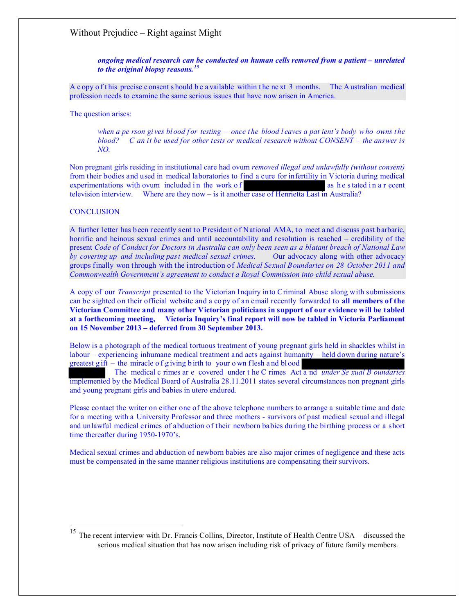*ongoing medical research can be conducted on human cells removed from a patient – unrelated to the original biopsy reasons.[15](#page-6-0)*

A c opy of this precise c onsent s hould be a vailable within the next 3 months. The A ustralian medical profession needs to examine the same serious issues that have now arisen in America.

The question arises:

*when a pe rson gives blood for testing – once the blood leaves a pat ient's body who owns the blood? C an it be used for other tests or medical research without CONSENT – the answer is NO.*

Non pregnant girls residing in institutional care had ovum *removed illegal and unlawfully (without consent)*  from their bodies and used in medical laboratories to find a cure for infertility in Victoria during medical experimentations with ovum included in the work of  $\blacksquare$  as h e stated in a r ecent television interview. Where are they now – is it another case of Henrietta Last in Australia?

#### **CONCLUSION**

 $\overline{a}$ 

A further letter has been recently sent to President of National AMA, to meet and discuss past barbaric, horrific and heinous sexual crimes and until accountability and resolution is reached – credibility of the present *Code of Conduct for Doctors in Australia can only been seen as a blatant breach of National Law by covering up and including past medical sexual crimes.* Our advocacy along with other advocacy groups finally won through with the introduction of *Medical Sexual Boundaries on 28 October 2011 and Commonwealth Government's agreement to conduct a Royal Commission into child sexual abuse.* 

A copy of our *Transcript* presented to the Victorian Inquiry into Criminal Abuse along with submissions can be sighted on their official website and a co py of an email recently forwarded to **all members of the Victorian Committee and many other Victorian politicians in support of our evidence will be tabled at a forthcoming meeting, Victoria Inquiry's final report will now be tabled in Victoria Parliament on 15 November 2013 – deferred from 30 September 2013.**

Below is a photograph of the medical tortuous treatment of young pregnant girls held in shackles whilst in labour – experiencing inhumane medical treatment and acts against humanity – held down during nature's greatest  $g$  ift – the miracle of g iving b irth to your o wn flesh and blood

The medical c rimes ar e covered under t he C rimes Act a nd *under Se xual B oundaries*  implemented by the Medical Board of Australia 28.11.2011 states several circumstances non pregnant girls and young pregnant girls and babies in utero endured*.* 

Please contact the writer on either one of the above telephone numbers to arrange a suitable time and date for a meeting with a University Professor and three mothers - survivors of past medical sexual and illegal and unlawful medical crimes of abduction of their newborn babies during the birthing process or a short time thereafter during 1950-1970's.

Medical sexual crimes and abduction of newborn babies are also major crimes of negligence and these acts must be compensated in the same manner religious institutions are compensating their survivors.

<span id="page-6-0"></span><sup>&</sup>lt;sup>15</sup> The recent interview with Dr. Francis Collins, Director, Institute of Health Centre USA – discussed the serious medical situation that has now arisen including risk of privacy of future family members.